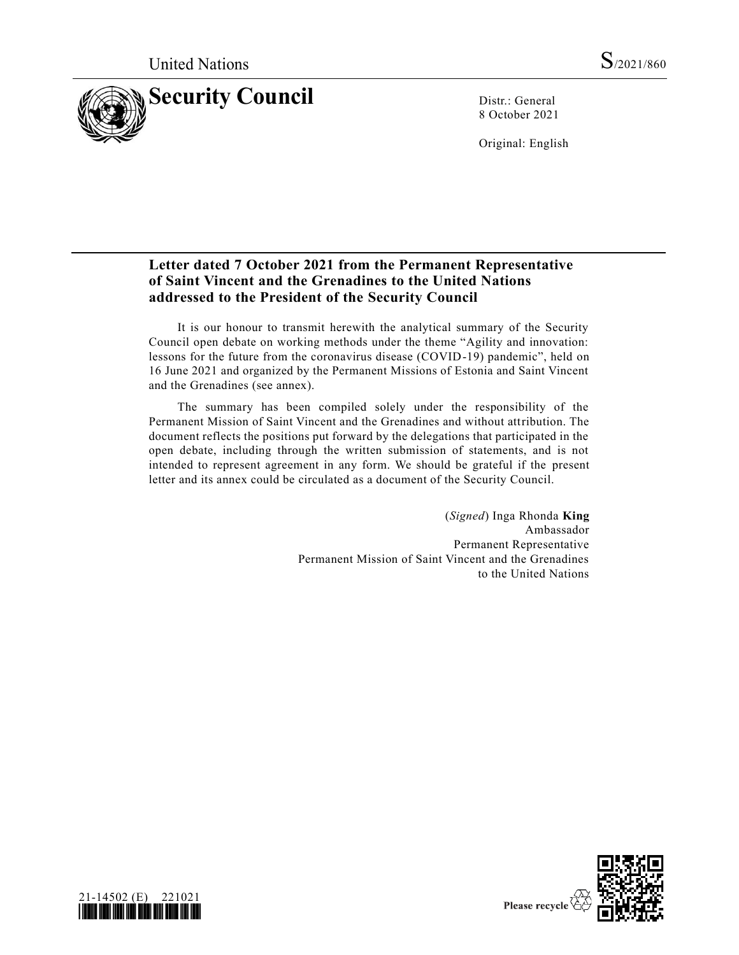

8 October 2021

Original: English

# **Letter dated 7 October 2021 from the Permanent Representative of Saint Vincent and the Grenadines to the United Nations addressed to the President of the Security Council**

It is our honour to transmit herewith the analytical summary of the Security Council open debate on working methods under the theme "Agility and innovation: lessons for the future from the coronavirus disease (COVID-19) pandemic", held on 16 June 2021 and organized by the Permanent Missions of Estonia and Saint Vincent and the Grenadines (see annex).

The summary has been compiled solely under the responsibility of the Permanent Mission of Saint Vincent and the Grenadines and without attribution. The document reflects the positions put forward by the delegations that participated in the open debate, including through the written submission of statements, and is not intended to represent agreement in any form. We should be grateful if the present letter and its annex could be circulated as a document of the Security Council.

> (*Signed*) Inga Rhonda **King** Ambassador Permanent Representative Permanent Mission of Saint Vincent and the Grenadines to the United Nations



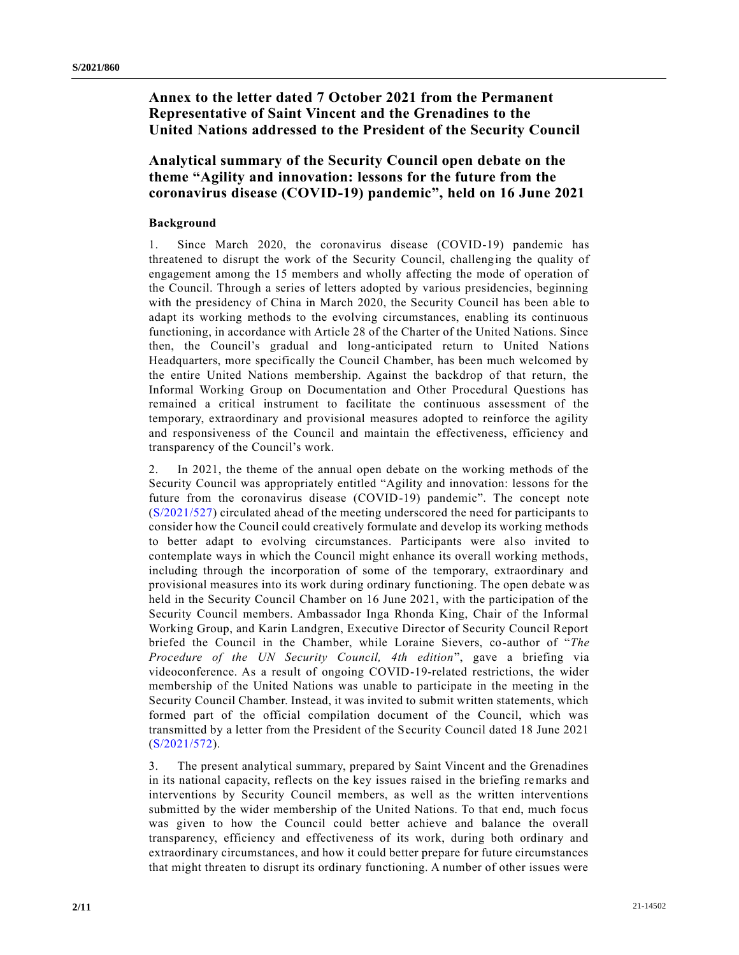# **Annex to the letter dated 7 October 2021 from the Permanent Representative of Saint Vincent and the Grenadines to the United Nations addressed to the President of the Security Council**

# **Analytical summary of the Security Council open debate on the theme "Agility and innovation: lessons for the future from the coronavirus disease (COVID-19) pandemic", held on 16 June 2021**

## **Background**

1. Since March 2020, the coronavirus disease (COVID-19) pandemic has threatened to disrupt the work of the Security Council, challenging the quality of engagement among the 15 members and wholly affecting the mode of operation of the Council. Through a series of letters adopted by various presidencies, beginning with the presidency of China in March 2020, the Security Council has been able to adapt its working methods to the evolving circumstances, enabling its continuous functioning, in accordance with Article 28 of the Charter of the United Nations. Since then, the Council's gradual and long-anticipated return to United Nations Headquarters, more specifically the Council Chamber, has been much welcomed by the entire United Nations membership. Against the backdrop of that return, the Informal Working Group on Documentation and Other Procedural Questions has remained a critical instrument to facilitate the continuous assessment of the temporary, extraordinary and provisional measures adopted to reinforce the agility and responsiveness of the Council and maintain the effectiveness, efficiency and transparency of the Council's work.

2. In 2021, the theme of the annual open debate on the working methods of the Security Council was appropriately entitled "Agility and innovation: lessons for the future from the coronavirus disease (COVID-19) pandemic". The concept note [\(S/2021/527\)](https://undocs.org/en/S/2021/527) circulated ahead of the meeting underscored the need for participants to consider how the Council could creatively formulate and develop its working methods to better adapt to evolving circumstances. Participants were also invited to contemplate ways in which the Council might enhance its overall working methods, including through the incorporation of some of the temporary, extraordinary and provisional measures into its work during ordinary functioning. The open debate was held in the Security Council Chamber on 16 June 2021, with the participation of the Security Council members. Ambassador Inga Rhonda King, Chair of the Informal Working Group, and Karin Landgren, Executive Director of Security Council Report briefed the Council in the Chamber, while Loraine Sievers, co-author of "*The Procedure of the UN Security Council, 4th edition*", gave a briefing via videoconference. As a result of ongoing COVID-19-related restrictions, the wider membership of the United Nations was unable to participate in the meeting in the Security Council Chamber. Instead, it was invited to submit written statements, which formed part of the official compilation document of the Council, which was transmitted by a letter from the President of the Security Council dated 18 June 2021 [\(S/2021/572\)](https://undocs.org/en/S/2021/572).

3. The present analytical summary, prepared by Saint Vincent and the Grenadines in its national capacity, reflects on the key issues raised in the briefing remarks and interventions by Security Council members, as well as the written interventions submitted by the wider membership of the United Nations. To that end, much focus was given to how the Council could better achieve and balance the overall transparency, efficiency and effectiveness of its work, during both ordinary and extraordinary circumstances, and how it could better prepare for future circumstances that might threaten to disrupt its ordinary functioning. A number of other issues were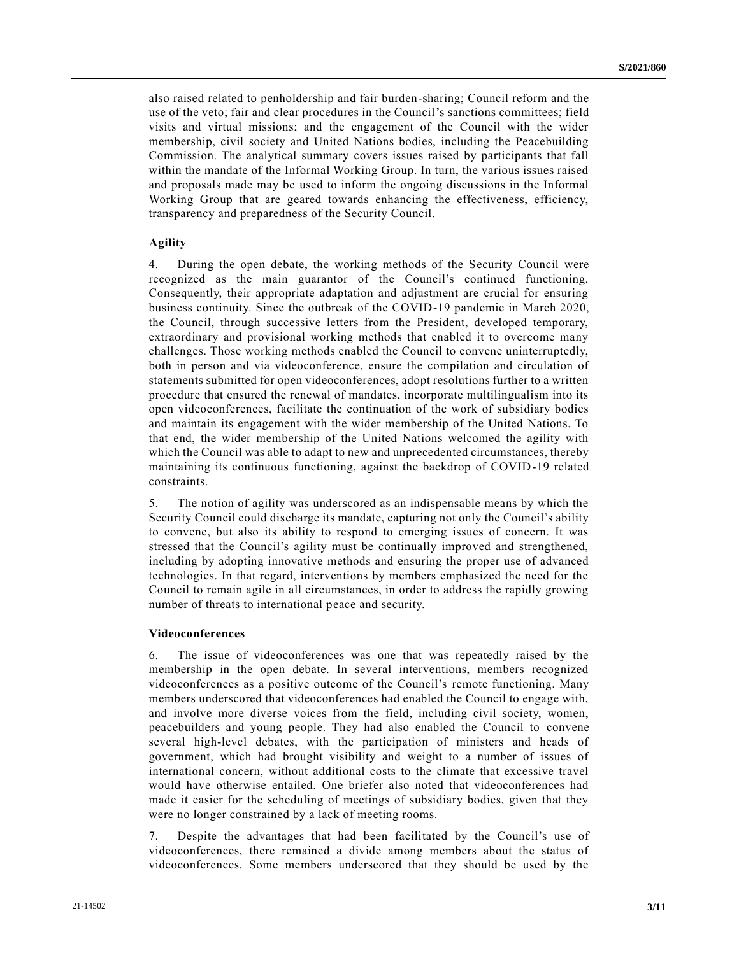also raised related to penholdership and fair burden-sharing; Council reform and the use of the veto; fair and clear procedures in the Council's sanctions committees; field visits and virtual missions; and the engagement of the Council with the wider membership, civil society and United Nations bodies, including the Peacebuilding Commission. The analytical summary covers issues raised by participants that fall within the mandate of the Informal Working Group. In turn, the various issues raised and proposals made may be used to inform the ongoing discussions in the Informal Working Group that are geared towards enhancing the effectiveness, efficiency, transparency and preparedness of the Security Council.

## **Agility**

4. During the open debate, the working methods of the Security Council were recognized as the main guarantor of the Council's continued functioning. Consequently, their appropriate adaptation and adjustment are crucial for ensuring business continuity. Since the outbreak of the COVID-19 pandemic in March 2020, the Council, through successive letters from the President, developed temporary, extraordinary and provisional working methods that enabled it to overcome many challenges. Those working methods enabled the Council to convene uninterruptedly, both in person and via videoconference, ensure the compilation and circulation of statements submitted for open videoconferences, adopt resolutions further to a written procedure that ensured the renewal of mandates, incorporate multilingualism into its open videoconferences, facilitate the continuation of the work of subsidiary bodies and maintain its engagement with the wider membership of the United Nations. To that end, the wider membership of the United Nations welcomed the agility with which the Council was able to adapt to new and unprecedented circumstances, thereby maintaining its continuous functioning, against the backdrop of COVID-19 related constraints.

5. The notion of agility was underscored as an indispensable means by which the Security Council could discharge its mandate, capturing not only the Council's ability to convene, but also its ability to respond to emerging issues of concern. It was stressed that the Council's agility must be continually improved and strengthened, including by adopting innovative methods and ensuring the proper use of advanced technologies. In that regard, interventions by members emphasized the need for the Council to remain agile in all circumstances, in order to address the rapidly growing number of threats to international peace and security.

#### **Videoconferences**

6. The issue of videoconferences was one that was repeatedly raised by the membership in the open debate. In several interventions, members recognized videoconferences as a positive outcome of the Council's remote functioning. Many members underscored that videoconferences had enabled the Council to engage with, and involve more diverse voices from the field, including civil society, women, peacebuilders and young people. They had also enabled the Council to convene several high-level debates, with the participation of ministers and heads of government, which had brought visibility and weight to a number of issues of international concern, without additional costs to the climate that excessive travel would have otherwise entailed. One briefer also noted that videoconferences had made it easier for the scheduling of meetings of subsidiary bodies, given that they were no longer constrained by a lack of meeting rooms.

7. Despite the advantages that had been facilitated by the Council's use of videoconferences, there remained a divide among members about the status of videoconferences. Some members underscored that they should be used by the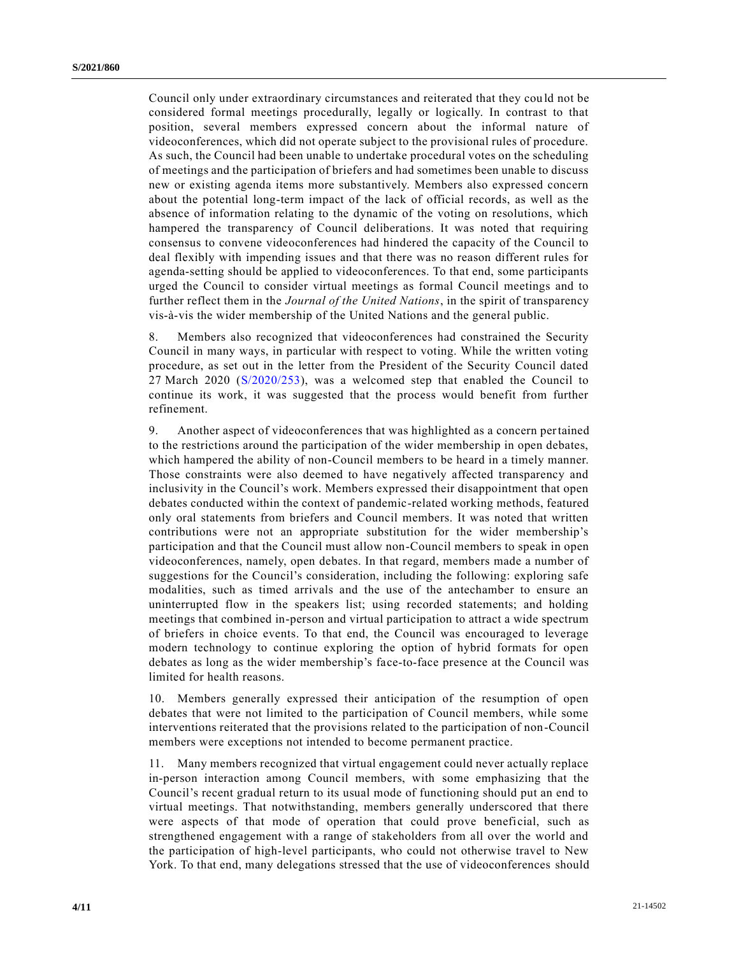Council only under extraordinary circumstances and reiterated that they cou ld not be considered formal meetings procedurally, legally or logically. In contrast to that position, several members expressed concern about the informal nature of videoconferences, which did not operate subject to the provisional rules of procedure. As such, the Council had been unable to undertake procedural votes on the scheduling of meetings and the participation of briefers and had sometimes been unable to discuss new or existing agenda items more substantively. Members also expressed concern about the potential long-term impact of the lack of official records, as well as the absence of information relating to the dynamic of the voting on resolutions, which hampered the transparency of Council deliberations. It was noted that requiring consensus to convene videoconferences had hindered the capacity of the Council to deal flexibly with impending issues and that there was no reason different rules for agenda-setting should be applied to videoconferences. To that end, some participants urged the Council to consider virtual meetings as formal Council meetings and to further reflect them in the *Journal of the United Nations*, in the spirit of transparency vis-à-vis the wider membership of the United Nations and the general public.

8. Members also recognized that videoconferences had constrained the Security Council in many ways, in particular with respect to voting. While the written voting procedure, as set out in the letter from the President of the Security Council dated 27 March 2020 [\(S/2020/253\)](https://undocs.org/en/S/2020/253), was a welcomed step that enabled the Council to continue its work, it was suggested that the process would benefit from further refinement.

9. Another aspect of videoconferences that was highlighted as a concern pertained to the restrictions around the participation of the wider membership in open debates, which hampered the ability of non-Council members to be heard in a timely manner. Those constraints were also deemed to have negatively affected transparency and inclusivity in the Council's work. Members expressed their disappointment that open debates conducted within the context of pandemic-related working methods, featured only oral statements from briefers and Council members. It was noted that written contributions were not an appropriate substitution for the wider membership's participation and that the Council must allow non-Council members to speak in open videoconferences, namely, open debates. In that regard, members made a number of suggestions for the Council's consideration, including the following: exploring safe modalities, such as timed arrivals and the use of the antechamber to ensure an uninterrupted flow in the speakers list; using recorded statements; and holding meetings that combined in-person and virtual participation to attract a wide spectrum of briefers in choice events. To that end, the Council was encouraged to leverage modern technology to continue exploring the option of hybrid formats for open debates as long as the wider membership's face-to-face presence at the Council was limited for health reasons.

10. Members generally expressed their anticipation of the resumption of open debates that were not limited to the participation of Council members, while some interventions reiterated that the provisions related to the participation of non-Council members were exceptions not intended to become permanent practice.

11. Many members recognized that virtual engagement could never actually replace in-person interaction among Council members, with some emphasizing that the Council's recent gradual return to its usual mode of functioning should put an end to virtual meetings. That notwithstanding, members generally underscored that there were aspects of that mode of operation that could prove beneficial, such as strengthened engagement with a range of stakeholders from all over the world and the participation of high-level participants, who could not otherwise travel to New York. To that end, many delegations stressed that the use of videoconferences should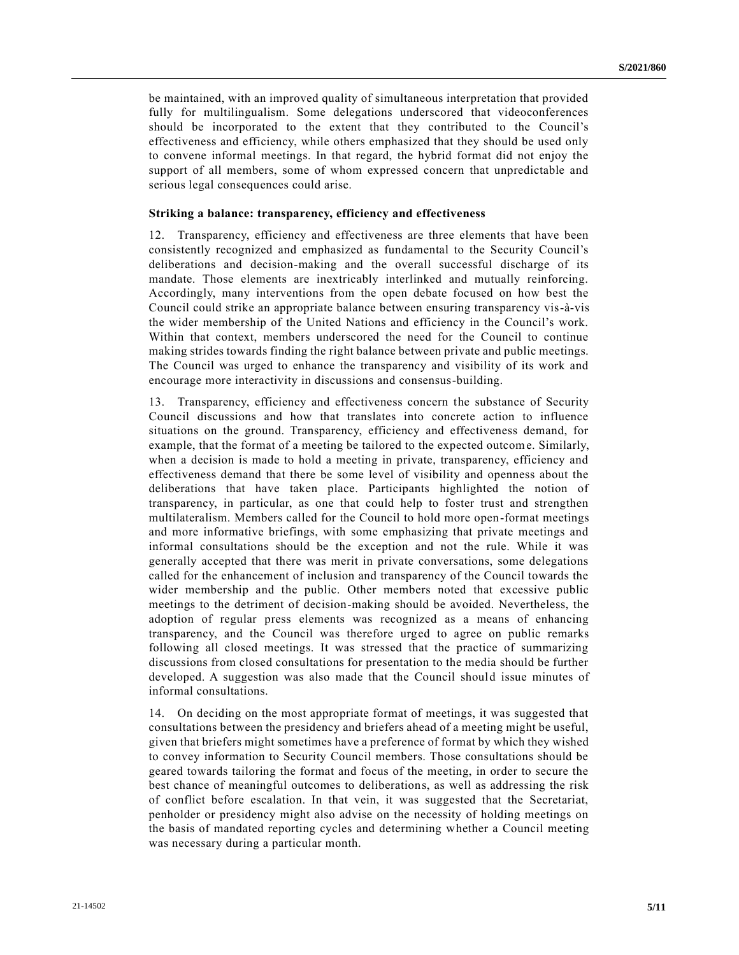be maintained, with an improved quality of simultaneous interpretation that provided fully for multilingualism. Some delegations underscored that videoconferences should be incorporated to the extent that they contributed to the Council's effectiveness and efficiency, while others emphasized that they should be used only to convene informal meetings. In that regard, the hybrid format did not enjoy the support of all members, some of whom expressed concern that unpredictable and serious legal consequences could arise.

#### **Striking a balance: transparency, efficiency and effectiveness**

12. Transparency, efficiency and effectiveness are three elements that have been consistently recognized and emphasized as fundamental to the Security Council's deliberations and decision-making and the overall successful discharge of its mandate. Those elements are inextricably interlinked and mutually reinforcing. Accordingly, many interventions from the open debate focused on how best the Council could strike an appropriate balance between ensuring transparency vis-à-vis the wider membership of the United Nations and efficiency in the Council's work. Within that context, members underscored the need for the Council to continue making strides towards finding the right balance between private and public meetings. The Council was urged to enhance the transparency and visibility of its work and encourage more interactivity in discussions and consensus-building.

13. Transparency, efficiency and effectiveness concern the substance of Security Council discussions and how that translates into concrete action to influence situations on the ground. Transparency, efficiency and effectiveness demand, for example, that the format of a meeting be tailored to the expected outcome. Similarly, when a decision is made to hold a meeting in private, transparency, efficiency and effectiveness demand that there be some level of visibility and openness about the deliberations that have taken place. Participants highlighted the notion of transparency, in particular, as one that could help to foster trust and strengthen multilateralism. Members called for the Council to hold more open-format meetings and more informative briefings, with some emphasizing that private meetings and informal consultations should be the exception and not the rule. While it was generally accepted that there was merit in private conversations, some delegations called for the enhancement of inclusion and transparency of the Council towards the wider membership and the public. Other members noted that excessive public meetings to the detriment of decision-making should be avoided. Nevertheless, the adoption of regular press elements was recognized as a means of enhancing transparency, and the Council was therefore urged to agree on public remarks following all closed meetings. It was stressed that the practice of summarizing discussions from closed consultations for presentation to the media should be further developed. A suggestion was also made that the Council should issue minutes of informal consultations.

14. On deciding on the most appropriate format of meetings, it was suggested that consultations between the presidency and briefers ahead of a meeting might be useful, given that briefers might sometimes have a preference of format by which they wished to convey information to Security Council members. Those consultations should be geared towards tailoring the format and focus of the meeting, in order to secure the best chance of meaningful outcomes to deliberations, as well as addressing the risk of conflict before escalation. In that vein, it was suggested that the Secretariat, penholder or presidency might also advise on the necessity of holding meetings on the basis of mandated reporting cycles and determining whether a Council meeting was necessary during a particular month.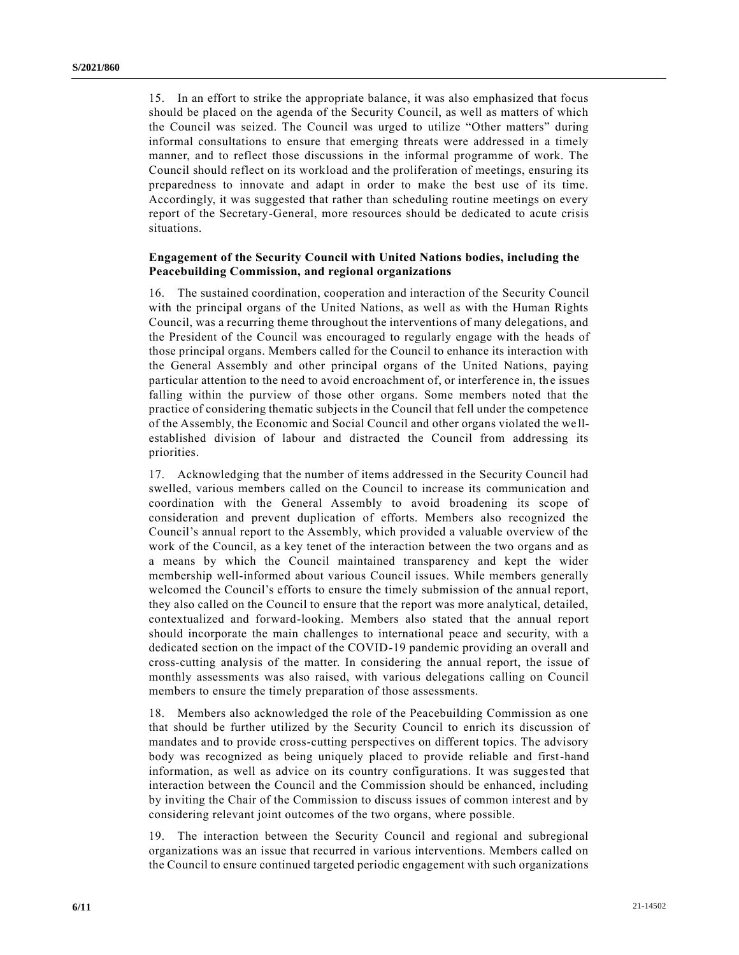15. In an effort to strike the appropriate balance, it was also emphasized that focus should be placed on the agenda of the Security Council, as well as matters of which the Council was seized. The Council was urged to utilize "Other matters" during informal consultations to ensure that emerging threats were addressed in a timely manner, and to reflect those discussions in the informal programme of work. The Council should reflect on its workload and the proliferation of meetings, ensuring its preparedness to innovate and adapt in order to make the best use of its time. Accordingly, it was suggested that rather than scheduling routine meetings on every report of the Secretary-General, more resources should be dedicated to acute crisis situations.

## **Engagement of the Security Council with United Nations bodies, including the Peacebuilding Commission, and regional organizations**

16. The sustained coordination, cooperation and interaction of the Security Council with the principal organs of the United Nations, as well as with the Human Rights Council, was a recurring theme throughout the interventions of many delegations, and the President of the Council was encouraged to regularly engage with the heads of those principal organs. Members called for the Council to enhance its interaction with the General Assembly and other principal organs of the United Nations, paying particular attention to the need to avoid encroachment of, or interference in, th e issues falling within the purview of those other organs. Some members noted that the practice of considering thematic subjects in the Council that fell under the competence of the Assembly, the Economic and Social Council and other organs violated the we llestablished division of labour and distracted the Council from addressing its priorities.

17. Acknowledging that the number of items addressed in the Security Council had swelled, various members called on the Council to increase its communication and coordination with the General Assembly to avoid broadening its scope of consideration and prevent duplication of efforts. Members also recognized the Council's annual report to the Assembly, which provided a valuable overview of the work of the Council, as a key tenet of the interaction between the two organs and as a means by which the Council maintained transparency and kept the wider membership well-informed about various Council issues. While members generally welcomed the Council's efforts to ensure the timely submission of the annual report, they also called on the Council to ensure that the report was more analytical, detailed, contextualized and forward-looking. Members also stated that the annual report should incorporate the main challenges to international peace and security, with a dedicated section on the impact of the COVID-19 pandemic providing an overall and cross-cutting analysis of the matter. In considering the annual report, the issue of monthly assessments was also raised, with various delegations calling on Council members to ensure the timely preparation of those assessments.

18. Members also acknowledged the role of the Peacebuilding Commission as one that should be further utilized by the Security Council to enrich its discussion of mandates and to provide cross-cutting perspectives on different topics. The advisory body was recognized as being uniquely placed to provide reliable and first-hand information, as well as advice on its country configurations. It was suggested that interaction between the Council and the Commission should be enhanced, including by inviting the Chair of the Commission to discuss issues of common interest and by considering relevant joint outcomes of the two organs, where possible.

19. The interaction between the Security Council and regional and subregional organizations was an issue that recurred in various interventions. Members called on the Council to ensure continued targeted periodic engagement with such organizations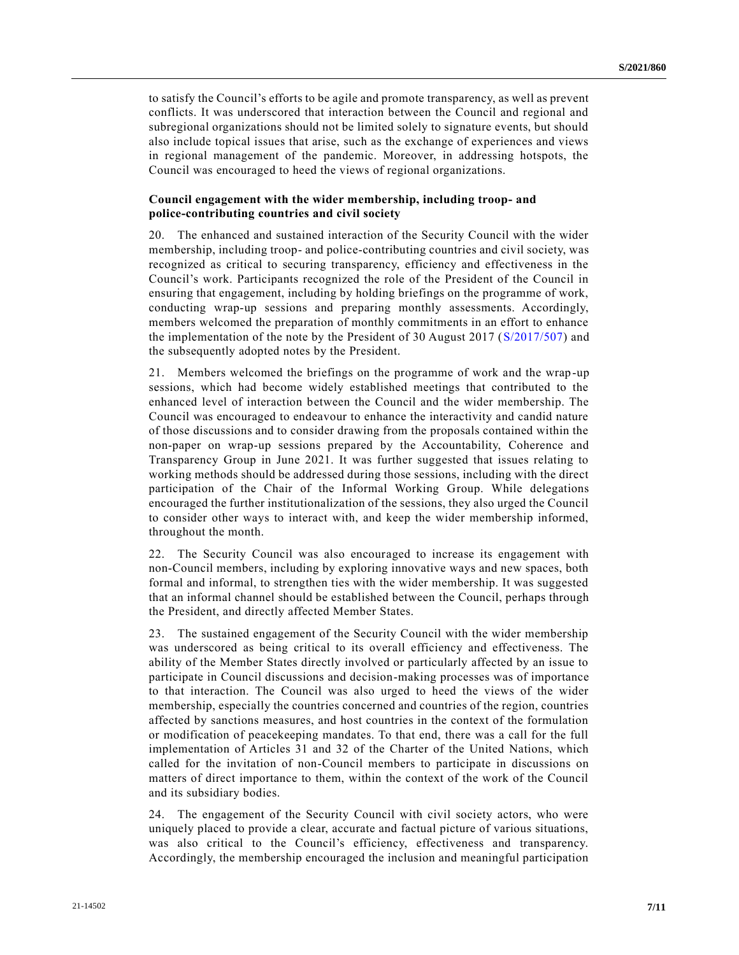to satisfy the Council's efforts to be agile and promote transparency, as well as prevent conflicts. It was underscored that interaction between the Council and regional and subregional organizations should not be limited solely to signature events, but should also include topical issues that arise, such as the exchange of experiences and views in regional management of the pandemic. Moreover, in addressing hotspots, the Council was encouraged to heed the views of regional organizations.

## **Council engagement with the wider membership, including troop- and police-contributing countries and civil society**

20. The enhanced and sustained interaction of the Security Council with the wider membership, including troop- and police-contributing countries and civil society, was recognized as critical to securing transparency, efficiency and effectiveness in the Council's work. Participants recognized the role of the President of the Council in ensuring that engagement, including by holding briefings on the programme of work, conducting wrap-up sessions and preparing monthly assessments. Accordingly, members welcomed the preparation of monthly commitments in an effort to enhance the implementation of the note by the President of 30 August 2017 [\(S/2017/507\)](https://undocs.org/en/S/2017/507) and the subsequently adopted notes by the President.

21. Members welcomed the briefings on the programme of work and the wrap-up sessions, which had become widely established meetings that contributed to the enhanced level of interaction between the Council and the wider membership. The Council was encouraged to endeavour to enhance the interactivity and candid nature of those discussions and to consider drawing from the proposals contained within the non-paper on wrap-up sessions prepared by the Accountability, Coherence and Transparency Group in June 2021. It was further suggested that issues relating to working methods should be addressed during those sessions, including with the direct participation of the Chair of the Informal Working Group. While delegations encouraged the further institutionalization of the sessions, they also urged the Council to consider other ways to interact with, and keep the wider membership informed, throughout the month.

22. The Security Council was also encouraged to increase its engagement with non-Council members, including by exploring innovative ways and new spaces, both formal and informal, to strengthen ties with the wider membership. It was suggested that an informal channel should be established between the Council, perhaps through the President, and directly affected Member States.

23. The sustained engagement of the Security Council with the wider membership was underscored as being critical to its overall efficiency and effectiveness. The ability of the Member States directly involved or particularly affected by an issue to participate in Council discussions and decision-making processes was of importance to that interaction. The Council was also urged to heed the views of the wider membership, especially the countries concerned and countries of the region, countries affected by sanctions measures, and host countries in the context of the formulation or modification of peacekeeping mandates. To that end, there was a call for the full implementation of Articles 31 and 32 of the Charter of the United Nations, which called for the invitation of non-Council members to participate in discussions on matters of direct importance to them, within the context of the work of the Council and its subsidiary bodies.

24. The engagement of the Security Council with civil society actors, who were uniquely placed to provide a clear, accurate and factual picture of various situations, was also critical to the Council's efficiency, effectiveness and transparency. Accordingly, the membership encouraged the inclusion and meaningful participation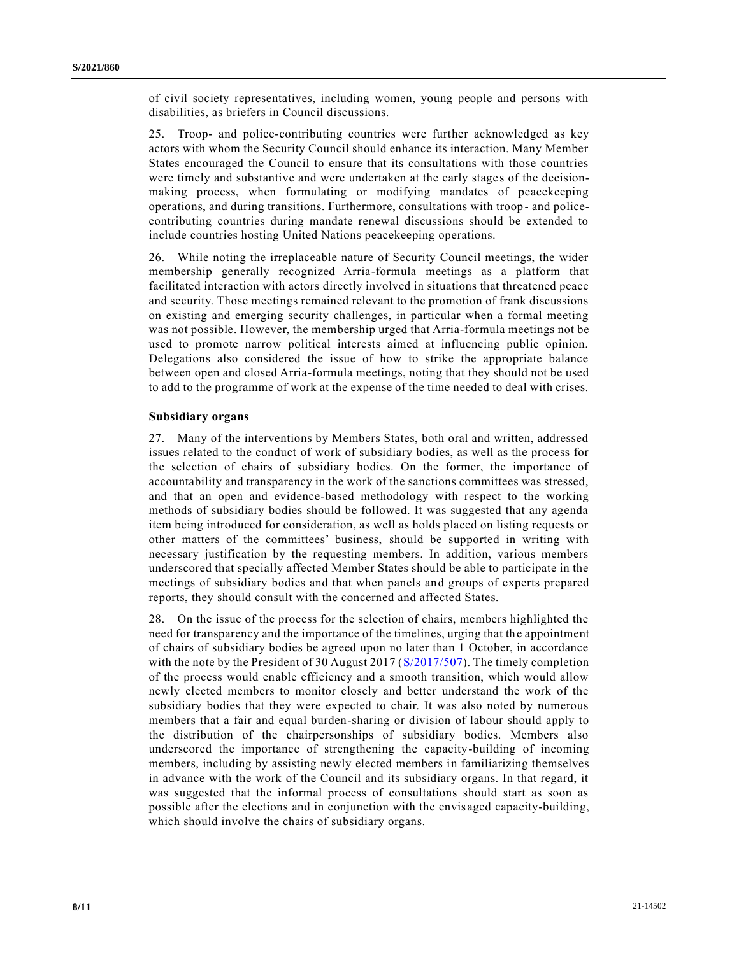of civil society representatives, including women, young people and persons with disabilities, as briefers in Council discussions.

25. Troop- and police-contributing countries were further acknowledged as key actors with whom the Security Council should enhance its interaction. Many Member States encouraged the Council to ensure that its consultations with those countries were timely and substantive and were undertaken at the early stage s of the decisionmaking process, when formulating or modifying mandates of peacekeeping operations, and during transitions. Furthermore, consultations with troop - and policecontributing countries during mandate renewal discussions should be extended to include countries hosting United Nations peacekeeping operations.

26. While noting the irreplaceable nature of Security Council meetings, the wider membership generally recognized Arria-formula meetings as a platform that facilitated interaction with actors directly involved in situations that threatened peace and security. Those meetings remained relevant to the promotion of frank discussions on existing and emerging security challenges, in particular when a formal meeting was not possible. However, the membership urged that Arria-formula meetings not be used to promote narrow political interests aimed at influencing public opinion. Delegations also considered the issue of how to strike the appropriate balance between open and closed Arria-formula meetings, noting that they should not be used to add to the programme of work at the expense of the time needed to deal with crises.

#### **Subsidiary organs**

27. Many of the interventions by Members States, both oral and written, addressed issues related to the conduct of work of subsidiary bodies, as well as the process for the selection of chairs of subsidiary bodies. On the former, the importance of accountability and transparency in the work of the sanctions committees was stressed, and that an open and evidence-based methodology with respect to the working methods of subsidiary bodies should be followed. It was suggested that any agenda item being introduced for consideration, as well as holds placed on listing requests or other matters of the committees' business, should be supported in writing with necessary justification by the requesting members. In addition, various members underscored that specially affected Member States should be able to participate in the meetings of subsidiary bodies and that when panels and groups of experts prepared reports, they should consult with the concerned and affected States.

28. On the issue of the process for the selection of chairs, members highlighted the need for transparency and the importance of the timelines, urging that the appointment of chairs of subsidiary bodies be agreed upon no later than 1 October, in accordance with the note by the President of 30 August 2017 [\(S/2017/507\)](https://undocs.org/en/S/2017/507). The timely completion of the process would enable efficiency and a smooth transition, which would allow newly elected members to monitor closely and better understand the work of the subsidiary bodies that they were expected to chair. It was also noted by numerous members that a fair and equal burden-sharing or division of labour should apply to the distribution of the chairpersonships of subsidiary bodies. Members also underscored the importance of strengthening the capacity-building of incoming members, including by assisting newly elected members in familiarizing themselves in advance with the work of the Council and its subsidiary organs. In that regard, it was suggested that the informal process of consultations should start as soon as possible after the elections and in conjunction with the envisaged capacity-building, which should involve the chairs of subsidiary organs.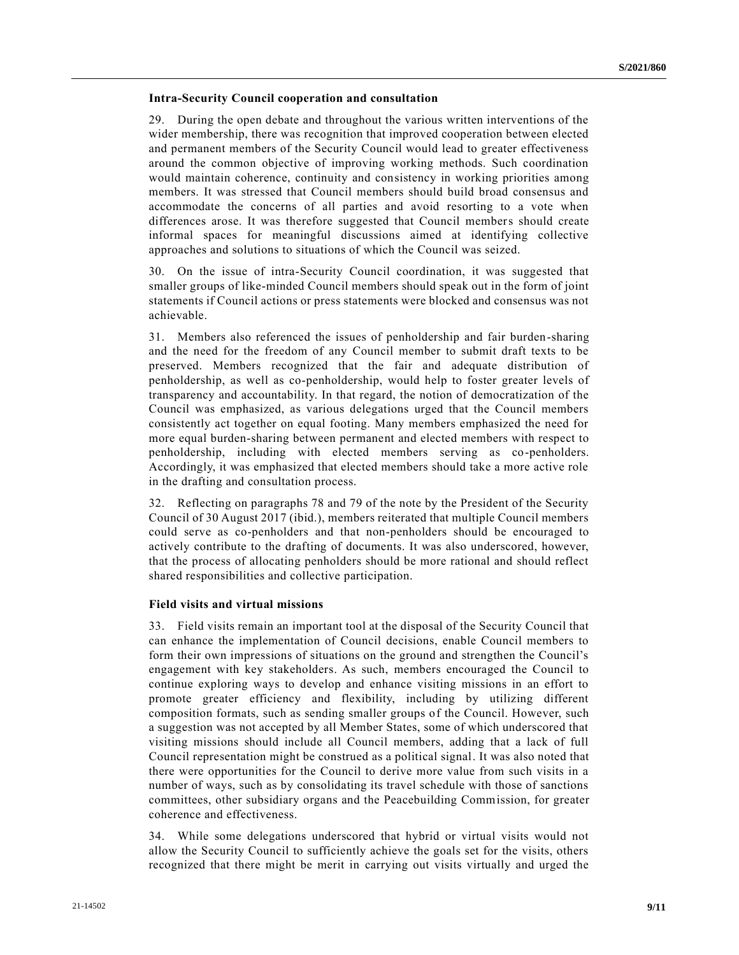### **Intra-Security Council cooperation and consultation**

29. During the open debate and throughout the various written interventions of the wider membership, there was recognition that improved cooperation between elected and permanent members of the Security Council would lead to greater effectiveness around the common objective of improving working methods. Such coordination would maintain coherence, continuity and consistency in working priorities among members. It was stressed that Council members should build broad consensus and accommodate the concerns of all parties and avoid resorting to a vote when differences arose. It was therefore suggested that Council members should create informal spaces for meaningful discussions aimed at identifying collective approaches and solutions to situations of which the Council was seized.

30. On the issue of intra-Security Council coordination, it was suggested that smaller groups of like-minded Council members should speak out in the form of joint statements if Council actions or press statements were blocked and consensus was not achievable.

31. Members also referenced the issues of penholdership and fair burden-sharing and the need for the freedom of any Council member to submit draft texts to be preserved. Members recognized that the fair and adequate distribution of penholdership, as well as co-penholdership, would help to foster greater levels of transparency and accountability. In that regard, the notion of democratization of the Council was emphasized, as various delegations urged that the Council members consistently act together on equal footing. Many members emphasized the need for more equal burden-sharing between permanent and elected members with respect to penholdership, including with elected members serving as co-penholders. Accordingly, it was emphasized that elected members should take a more active role in the drafting and consultation process.

32. Reflecting on paragraphs 78 and 79 of the note by the President of the Security Council of 30 August 2017 (ibid.), members reiterated that multiple Council members could serve as co-penholders and that non-penholders should be encouraged to actively contribute to the drafting of documents. It was also underscored, however, that the process of allocating penholders should be more rational and should reflect shared responsibilities and collective participation.

### **Field visits and virtual missions**

33. Field visits remain an important tool at the disposal of the Security Council that can enhance the implementation of Council decisions, enable Council members to form their own impressions of situations on the ground and strengthen the Council's engagement with key stakeholders. As such, members encouraged the Council to continue exploring ways to develop and enhance visiting missions in an effort to promote greater efficiency and flexibility, including by utilizing different composition formats, such as sending smaller groups of the Council. However, such a suggestion was not accepted by all Member States, some of which underscored that visiting missions should include all Council members, adding that a lack of full Council representation might be construed as a political signal. It was also noted that there were opportunities for the Council to derive more value from such visits in a number of ways, such as by consolidating its travel schedule with those of sanctions committees, other subsidiary organs and the Peacebuilding Commission, for greater coherence and effectiveness.

34. While some delegations underscored that hybrid or virtual visits would not allow the Security Council to sufficiently achieve the goals set for the visits, others recognized that there might be merit in carrying out visits virtually and urged the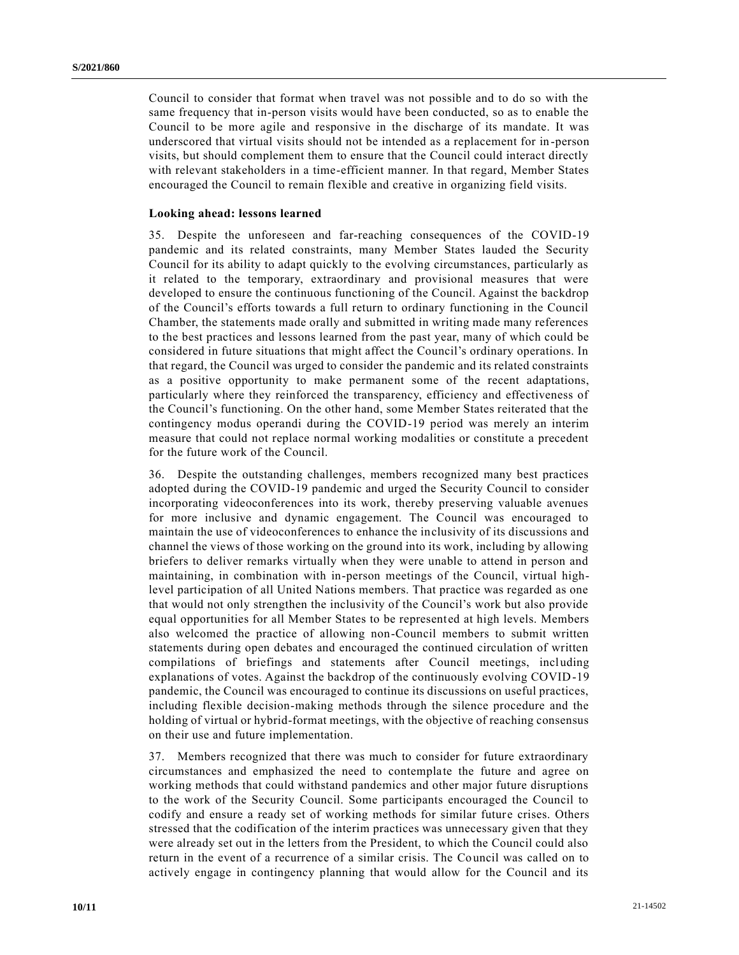Council to consider that format when travel was not possible and to do so with the same frequency that in-person visits would have been conducted, so as to enable the Council to be more agile and responsive in the discharge of its mandate. It was underscored that virtual visits should not be intended as a replacement for in-person visits, but should complement them to ensure that the Council could interact directly with relevant stakeholders in a time-efficient manner. In that regard, Member States encouraged the Council to remain flexible and creative in organizing field visits.

#### **Looking ahead: lessons learned**

35. Despite the unforeseen and far-reaching consequences of the COVID-19 pandemic and its related constraints, many Member States lauded the Security Council for its ability to adapt quickly to the evolving circumstances, particularly as it related to the temporary, extraordinary and provisional measures that were developed to ensure the continuous functioning of the Council. Against the backdrop of the Council's efforts towards a full return to ordinary functioning in the Council Chamber, the statements made orally and submitted in writing made many references to the best practices and lessons learned from the past year, many of which could be considered in future situations that might affect the Council's ordinary operations. In that regard, the Council was urged to consider the pandemic and its related constraints as a positive opportunity to make permanent some of the recent adaptations, particularly where they reinforced the transparency, efficiency and effectiveness of the Council's functioning. On the other hand, some Member States reiterated that the contingency modus operandi during the COVID-19 period was merely an interim measure that could not replace normal working modalities or constitute a precedent for the future work of the Council.

36. Despite the outstanding challenges, members recognized many best practices adopted during the COVID-19 pandemic and urged the Security Council to consider incorporating videoconferences into its work, thereby preserving valuable avenues for more inclusive and dynamic engagement. The Council was encouraged to maintain the use of videoconferences to enhance the inclusivity of its discussions and channel the views of those working on the ground into its work, including by allowing briefers to deliver remarks virtually when they were unable to attend in person and maintaining, in combination with in-person meetings of the Council, virtual highlevel participation of all United Nations members. That practice was regarded as one that would not only strengthen the inclusivity of the Council's work but also provide equal opportunities for all Member States to be represented at high levels. Members also welcomed the practice of allowing non-Council members to submit written statements during open debates and encouraged the continued circulation of written compilations of briefings and statements after Council meetings, including explanations of votes. Against the backdrop of the continuously evolving COVID-19 pandemic, the Council was encouraged to continue its discussions on useful practices, including flexible decision-making methods through the silence procedure and the holding of virtual or hybrid-format meetings, with the objective of reaching consensus on their use and future implementation.

37. Members recognized that there was much to consider for future extraordinary circumstances and emphasized the need to contemplate the future and agree on working methods that could withstand pandemics and other major future disruptions to the work of the Security Council. Some participants encouraged the Council to codify and ensure a ready set of working methods for similar future crises. Others stressed that the codification of the interim practices was unnecessary given that they were already set out in the letters from the President, to which the Council could also return in the event of a recurrence of a similar crisis. The Council was called on to actively engage in contingency planning that would allow for the Council and its